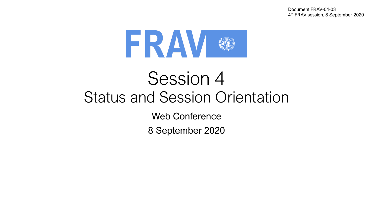Document FRAV-04-03 4 th FRAV session, 8 September 2020



# Session 4 Status and Session Orientation

Web Conference

8 September 2020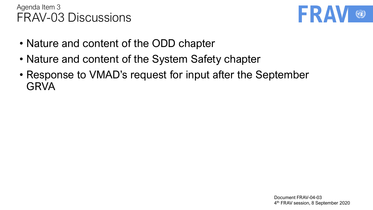

- Nature and content of the ODD chapter
- Nature and content of the System Safety chapter
- Response to VMAD's request for input after the September **GRVA**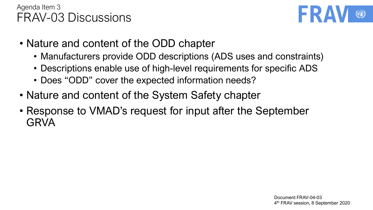

- Nature and content of the ODD chapter
	- Manufacturers provide ODD descriptions (ADS uses and constraints)
	- Descriptions enable use of high-level requirements for specific ADS
	- Does "ODD" cover the expected information needs?
- Nature and content of the System Safety chapter
- Response to VMAD's request for input after the September GRVA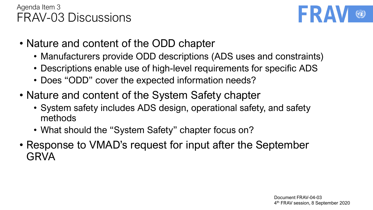

- Nature and content of the ODD chapter
	- Manufacturers provide ODD descriptions (ADS uses and constraints)
	- Descriptions enable use of high-level requirements for specific ADS
	- Does "ODD" cover the expected information needs?
- Nature and content of the System Safety chapter
	- System safety includes ADS design, operational safety, and safety methods
	- What should the "System Safety" chapter focus on?
- Response to VMAD's request for input after the September GRVA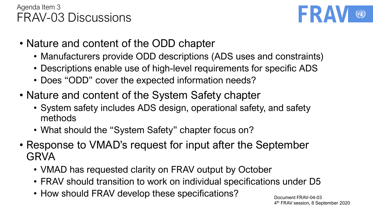

- Nature and content of the ODD chapter
	- Manufacturers provide ODD descriptions (ADS uses and constraints)
	- Descriptions enable use of high-level requirements for specific ADS
	- Does "ODD" cover the expected information needs?
- Nature and content of the System Safety chapter
	- System safety includes ADS design, operational safety, and safety methods
	- What should the "System Safety" chapter focus on?
- Response to VMAD's request for input after the September GRVA
	- VMAD has requested clarity on FRAV output by October
	- FRAV should transition to work on individual specifications under D5
	- How should FRAV develop these specifications?

Document FRAV-04-03 4 th FRAV session, 8 September 2020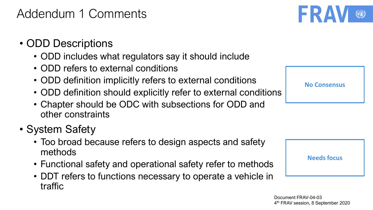# Addendum 1 Comments

- ODD Descriptions
	- ODD includes what regulators say it should include
	- ODD refers to external conditions
	- ODD definition implicitly refers to external conditions
	- ODD definition should explicitly refer to external conditions
	- Chapter should be ODC with subsections for ODD and other constraints
- System Safety
	- Too broad because refers to design aspects and safety methods
	- Functional safety and operational safety refer to methods
	- DDT refers to functions necessary to operate a vehicle in traffic

**No Consensus**



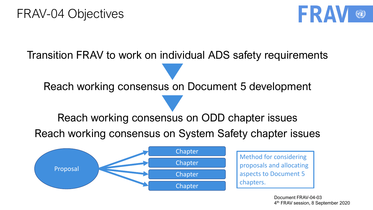

Transition FRAV to work on individual ADS safety requirements

Reach working consensus on Document 5 development

Reach working consensus on ODD chapter issues

Reach working consensus on System Safety chapter issues



Document FRAV-04-03 4 th FRAV session, 8 September 2020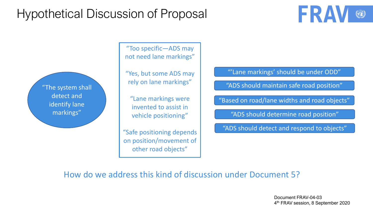# Hypothetical Discussion of Proposal

"The system shall detect and identify lane markings"

"Too specific—ADS may not need lane markings"

"Yes, but some ADS may rely on lane markings"

"Lane markings were invented to assist in vehicle positioning"

"Safe positioning depends on position/movement of other road objects"

"'Lane markings' should be under ODD"

"ADS should maintain safe road position"

"Based on road/lane widths and road objects"

"ADS should determine road position"

"ADS should detect and respond to objects"

How do we address this kind of discussion under Document 5?

Document FRAV-04-03 4 th FRAV session, 8 September 2020

FRA

O